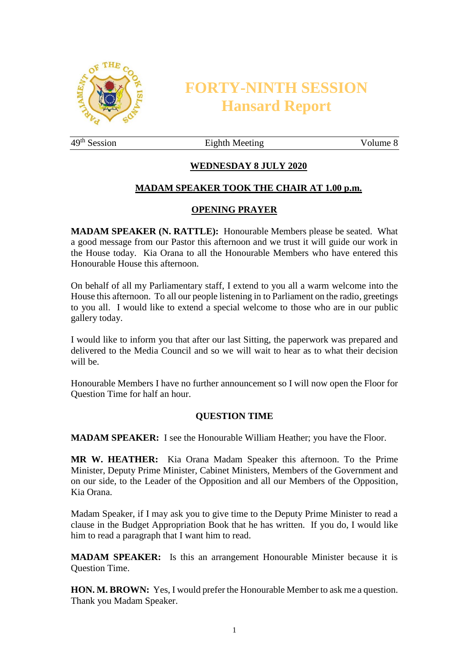

# **FORTY-NINTH SESSION Hansard Report**

49<sup>th</sup> Session Eighth Meeting Volume 8

# **WEDNESDAY 8 JULY 2020**

## **MADAM SPEAKER TOOK THE CHAIR AT 1.00 p.m.**

## **OPENING PRAYER**

**MADAM SPEAKER (N. RATTLE):** Honourable Members please be seated. What a good message from our Pastor this afternoon and we trust it will guide our work in the House today. Kia Orana to all the Honourable Members who have entered this Honourable House this afternoon.

On behalf of all my Parliamentary staff, I extend to you all a warm welcome into the House this afternoon. To all our people listening in to Parliament on the radio, greetings to you all. I would like to extend a special welcome to those who are in our public gallery today.

I would like to inform you that after our last Sitting, the paperwork was prepared and delivered to the Media Council and so we will wait to hear as to what their decision will be.

Honourable Members I have no further announcement so I will now open the Floor for Question Time for half an hour.

#### **QUESTION TIME**

**MADAM SPEAKER:** I see the Honourable William Heather; you have the Floor.

**MR W. HEATHER:** Kia Orana Madam Speaker this afternoon. To the Prime Minister, Deputy Prime Minister, Cabinet Ministers, Members of the Government and on our side, to the Leader of the Opposition and all our Members of the Opposition, Kia Orana.

Madam Speaker, if I may ask you to give time to the Deputy Prime Minister to read a clause in the Budget Appropriation Book that he has written. If you do, I would like him to read a paragraph that I want him to read.

**MADAM SPEAKER:** Is this an arrangement Honourable Minister because it is Question Time.

**HON. M. BROWN:** Yes, I would prefer the Honourable Member to ask me a question. Thank you Madam Speaker.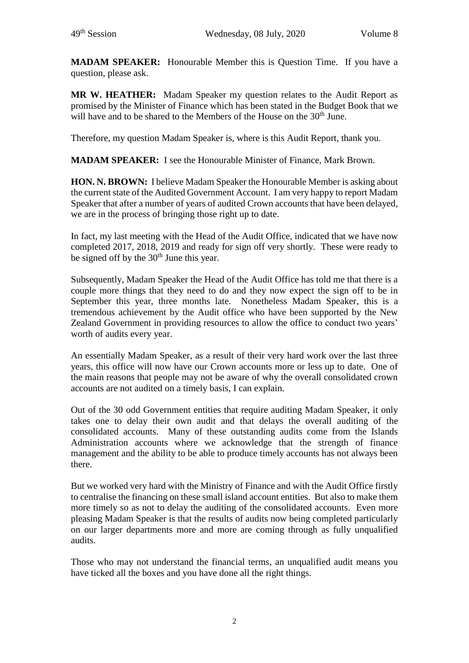**MADAM SPEAKER:** Honourable Member this is Question Time. If you have a question, please ask.

**MR W. HEATHER:** Madam Speaker my question relates to the Audit Report as promised by the Minister of Finance which has been stated in the Budget Book that we will have and to be shared to the Members of the House on the 30<sup>th</sup> June.

Therefore, my question Madam Speaker is, where is this Audit Report, thank you.

**MADAM SPEAKER:** I see the Honourable Minister of Finance, Mark Brown.

**HON. N. BROWN:** I believe Madam Speaker the Honourable Member is asking about the current state of the Audited Government Account. I am very happy to report Madam Speaker that after a number of years of audited Crown accounts that have been delayed, we are in the process of bringing those right up to date.

In fact, my last meeting with the Head of the Audit Office, indicated that we have now completed 2017, 2018, 2019 and ready for sign off very shortly. These were ready to be signed off by the  $30<sup>th</sup>$  June this year.

Subsequently, Madam Speaker the Head of the Audit Office has told me that there is a couple more things that they need to do and they now expect the sign off to be in September this year, three months late. Nonetheless Madam Speaker, this is a tremendous achievement by the Audit office who have been supported by the New Zealand Government in providing resources to allow the office to conduct two years' worth of audits every year.

An essentially Madam Speaker, as a result of their very hard work over the last three years, this office will now have our Crown accounts more or less up to date. One of the main reasons that people may not be aware of why the overall consolidated crown accounts are not audited on a timely basis, I can explain.

Out of the 30 odd Government entities that require auditing Madam Speaker, it only takes one to delay their own audit and that delays the overall auditing of the consolidated accounts. Many of these outstanding audits come from the Islands Administration accounts where we acknowledge that the strength of finance management and the ability to be able to produce timely accounts has not always been there.

But we worked very hard with the Ministry of Finance and with the Audit Office firstly to centralise the financing on these small island account entities. But also to make them more timely so as not to delay the auditing of the consolidated accounts. Even more pleasing Madam Speaker is that the results of audits now being completed particularly on our larger departments more and more are coming through as fully unqualified audits.

Those who may not understand the financial terms, an unqualified audit means you have ticked all the boxes and you have done all the right things.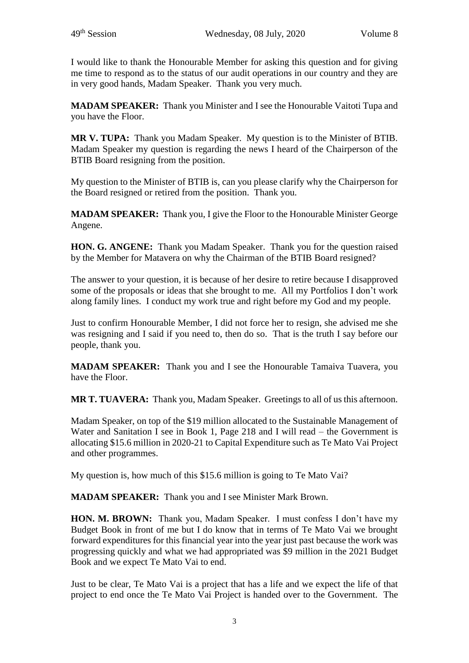I would like to thank the Honourable Member for asking this question and for giving me time to respond as to the status of our audit operations in our country and they are in very good hands, Madam Speaker. Thank you very much.

**MADAM SPEAKER:** Thank you Minister and I see the Honourable Vaitoti Tupa and you have the Floor.

**MR V. TUPA:** Thank you Madam Speaker. My question is to the Minister of BTIB. Madam Speaker my question is regarding the news I heard of the Chairperson of the BTIB Board resigning from the position.

My question to the Minister of BTIB is, can you please clarify why the Chairperson for the Board resigned or retired from the position. Thank you.

**MADAM SPEAKER:** Thank you, I give the Floor to the Honourable Minister George Angene.

**HON. G. ANGENE:** Thank you Madam Speaker. Thank you for the question raised by the Member for Matavera on why the Chairman of the BTIB Board resigned?

The answer to your question, it is because of her desire to retire because I disapproved some of the proposals or ideas that she brought to me. All my Portfolios I don't work along family lines. I conduct my work true and right before my God and my people.

Just to confirm Honourable Member, I did not force her to resign, she advised me she was resigning and I said if you need to, then do so. That is the truth I say before our people, thank you.

**MADAM SPEAKER:** Thank you and I see the Honourable Tamaiva Tuavera, you have the Floor.

**MR T. TUAVERA:** Thank you, Madam Speaker. Greetings to all of us this afternoon.

Madam Speaker, on top of the \$19 million allocated to the Sustainable Management of Water and Sanitation I see in Book 1, Page 218 and I will read – the Government is allocating \$15.6 million in 2020-21 to Capital Expenditure such as Te Mato Vai Project and other programmes.

My question is, how much of this \$15.6 million is going to Te Mato Vai?

**MADAM SPEAKER:** Thank you and I see Minister Mark Brown.

**HON. M. BROWN:** Thank you, Madam Speaker. I must confess I don't have my Budget Book in front of me but I do know that in terms of Te Mato Vai we brought forward expenditures for this financial year into the year just past because the work was progressing quickly and what we had appropriated was \$9 million in the 2021 Budget Book and we expect Te Mato Vai to end.

Just to be clear, Te Mato Vai is a project that has a life and we expect the life of that project to end once the Te Mato Vai Project is handed over to the Government. The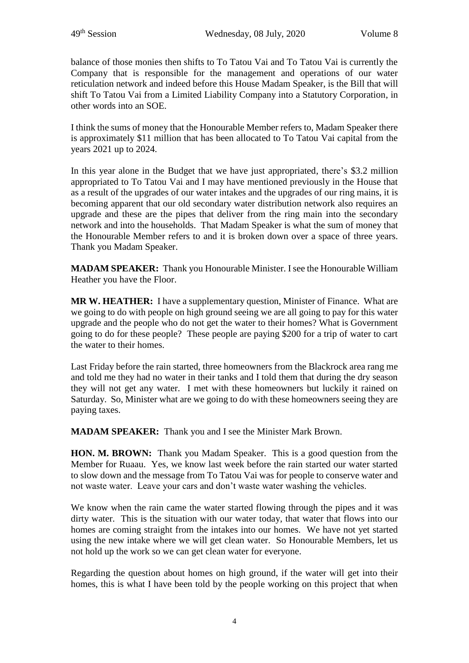balance of those monies then shifts to To Tatou Vai and To Tatou Vai is currently the Company that is responsible for the management and operations of our water reticulation network and indeed before this House Madam Speaker, is the Bill that will shift To Tatou Vai from a Limited Liability Company into a Statutory Corporation, in other words into an SOE.

I think the sums of money that the Honourable Member refers to, Madam Speaker there is approximately \$11 million that has been allocated to To Tatou Vai capital from the years 2021 up to 2024.

In this year alone in the Budget that we have just appropriated, there's \$3.2 million appropriated to To Tatou Vai and I may have mentioned previously in the House that as a result of the upgrades of our water intakes and the upgrades of our ring mains, it is becoming apparent that our old secondary water distribution network also requires an upgrade and these are the pipes that deliver from the ring main into the secondary network and into the households. That Madam Speaker is what the sum of money that the Honourable Member refers to and it is broken down over a space of three years. Thank you Madam Speaker.

**MADAM SPEAKER:** Thank you Honourable Minister. I see the Honourable William Heather you have the Floor.

**MR W. HEATHER:** I have a supplementary question, Minister of Finance. What are we going to do with people on high ground seeing we are all going to pay for this water upgrade and the people who do not get the water to their homes? What is Government going to do for these people? These people are paying \$200 for a trip of water to cart the water to their homes.

Last Friday before the rain started, three homeowners from the Blackrock area rang me and told me they had no water in their tanks and I told them that during the dry season they will not get any water. I met with these homeowners but luckily it rained on Saturday. So, Minister what are we going to do with these homeowners seeing they are paying taxes.

**MADAM SPEAKER:** Thank you and I see the Minister Mark Brown.

**HON. M. BROWN:** Thank you Madam Speaker. This is a good question from the Member for Ruaau. Yes, we know last week before the rain started our water started to slow down and the message from To Tatou Vai was for people to conserve water and not waste water. Leave your cars and don't waste water washing the vehicles.

We know when the rain came the water started flowing through the pipes and it was dirty water. This is the situation with our water today, that water that flows into our homes are coming straight from the intakes into our homes. We have not yet started using the new intake where we will get clean water. So Honourable Members, let us not hold up the work so we can get clean water for everyone.

Regarding the question about homes on high ground, if the water will get into their homes, this is what I have been told by the people working on this project that when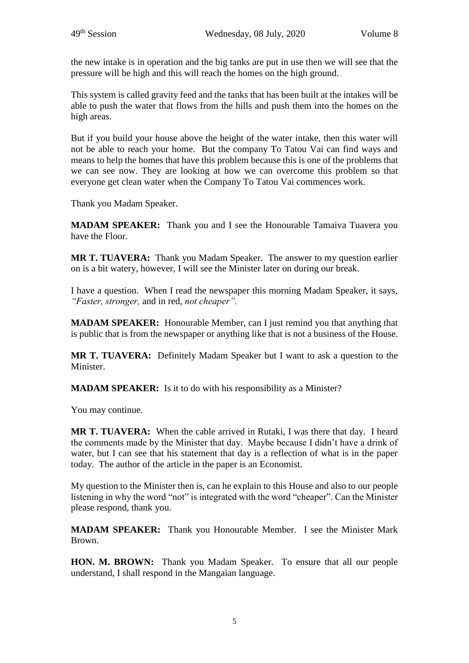the new intake is in operation and the big tanks are put in use then we will see that the pressure will be high and this will reach the homes on the high ground.

This system is called gravity feed and the tanks that has been built at the intakes will be able to push the water that flows from the hills and push them into the homes on the high areas.

But if you build your house above the height of the water intake, then this water will not be able to reach your home. But the company To Tatou Vai can find ways and means to help the homes that have this problem because this is one of the problems that we can see now. They are looking at how we can overcome this problem so that everyone get clean water when the Company To Tatou Vai commences work.

Thank you Madam Speaker.

**MADAM SPEAKER:** Thank you and I see the Honourable Tamaiva Tuavera you have the Floor.

**MR T. TUAVERA:** Thank you Madam Speaker. The answer to my question earlier on is a bit watery, however, I will see the Minister later on during our break.

I have a question. When I read the newspaper this morning Madam Speaker, it says, *"Faster, stronger,* and in red, *not cheaper".*

**MADAM SPEAKER:** Honourable Member, can I just remind you that anything that is public that is from the newspaper or anything like that is not a business of the House.

**MR T. TUAVERA:** Definitely Madam Speaker but I want to ask a question to the Minister.

**MADAM SPEAKER:** Is it to do with his responsibility as a Minister?

You may continue.

**MR T. TUAVERA:** When the cable arrived in Rutaki, I was there that day. I heard the comments made by the Minister that day. Maybe because I didn't have a drink of water, but I can see that his statement that day is a reflection of what is in the paper today. The author of the article in the paper is an Economist.

My question to the Minister then is, can he explain to this House and also to our people listening in why the word "not" is integrated with the word "cheaper". Can the Minister please respond, thank you.

**MADAM SPEAKER:** Thank you Honourable Member. I see the Minister Mark Brown.

**HON. M. BROWN:** Thank you Madam Speaker. To ensure that all our people understand, I shall respond in the Mangaian language.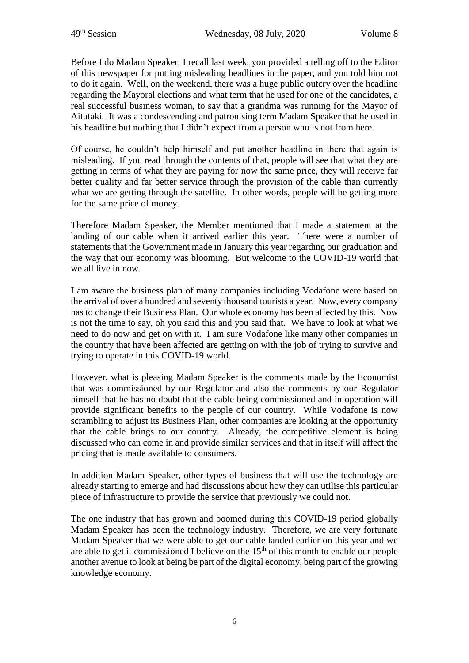Before I do Madam Speaker, I recall last week, you provided a telling off to the Editor of this newspaper for putting misleading headlines in the paper, and you told him not to do it again. Well, on the weekend, there was a huge public outcry over the headline regarding the Mayoral elections and what term that he used for one of the candidates, a real successful business woman, to say that a grandma was running for the Mayor of Aitutaki. It was a condescending and patronising term Madam Speaker that he used in his headline but nothing that I didn't expect from a person who is not from here.

Of course, he couldn't help himself and put another headline in there that again is misleading. If you read through the contents of that, people will see that what they are getting in terms of what they are paying for now the same price, they will receive far better quality and far better service through the provision of the cable than currently what we are getting through the satellite. In other words, people will be getting more for the same price of money.

Therefore Madam Speaker, the Member mentioned that I made a statement at the landing of our cable when it arrived earlier this year. There were a number of statements that the Government made in January this year regarding our graduation and the way that our economy was blooming. But welcome to the COVID-19 world that we all live in now.

I am aware the business plan of many companies including Vodafone were based on the arrival of over a hundred and seventy thousand tourists a year. Now, every company has to change their Business Plan. Our whole economy has been affected by this. Now is not the time to say, oh you said this and you said that. We have to look at what we need to do now and get on with it. I am sure Vodafone like many other companies in the country that have been affected are getting on with the job of trying to survive and trying to operate in this COVID-19 world.

However, what is pleasing Madam Speaker is the comments made by the Economist that was commissioned by our Regulator and also the comments by our Regulator himself that he has no doubt that the cable being commissioned and in operation will provide significant benefits to the people of our country. While Vodafone is now scrambling to adjust its Business Plan, other companies are looking at the opportunity that the cable brings to our country. Already, the competitive element is being discussed who can come in and provide similar services and that in itself will affect the pricing that is made available to consumers.

In addition Madam Speaker, other types of business that will use the technology are already starting to emerge and had discussions about how they can utilise this particular piece of infrastructure to provide the service that previously we could not.

The one industry that has grown and boomed during this COVID-19 period globally Madam Speaker has been the technology industry. Therefore, we are very fortunate Madam Speaker that we were able to get our cable landed earlier on this year and we are able to get it commissioned I believe on the  $15<sup>th</sup>$  of this month to enable our people another avenue to look at being be part of the digital economy, being part of the growing knowledge economy.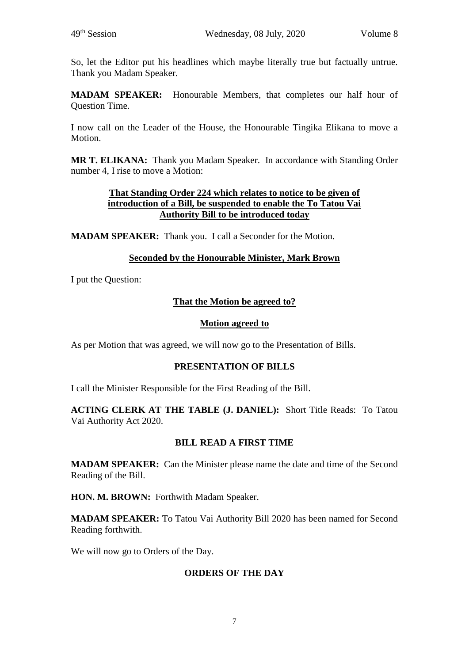So, let the Editor put his headlines which maybe literally true but factually untrue. Thank you Madam Speaker.

**MADAM SPEAKER:** Honourable Members, that completes our half hour of Question Time.

I now call on the Leader of the House, the Honourable Tingika Elikana to move a Motion.

**MR T. ELIKANA:** Thank you Madam Speaker. In accordance with Standing Order number 4, I rise to move a Motion:

#### **That Standing Order 224 which relates to notice to be given of introduction of a Bill, be suspended to enable the To Tatou Vai Authority Bill to be introduced today**

**MADAM SPEAKER:** Thank you. I call a Seconder for the Motion.

#### **Seconded by the Honourable Minister, Mark Brown**

I put the Question:

## **That the Motion be agreed to?**

#### **Motion agreed to**

As per Motion that was agreed, we will now go to the Presentation of Bills.

#### **PRESENTATION OF BILLS**

I call the Minister Responsible for the First Reading of the Bill.

**ACTING CLERK AT THE TABLE (J. DANIEL):** Short Title Reads: To Tatou Vai Authority Act 2020.

#### **BILL READ A FIRST TIME**

**MADAM SPEAKER:** Can the Minister please name the date and time of the Second Reading of the Bill.

**HON. M. BROWN:** Forthwith Madam Speaker.

**MADAM SPEAKER:** To Tatou Vai Authority Bill 2020 has been named for Second Reading forthwith.

We will now go to Orders of the Day.

## **ORDERS OF THE DAY**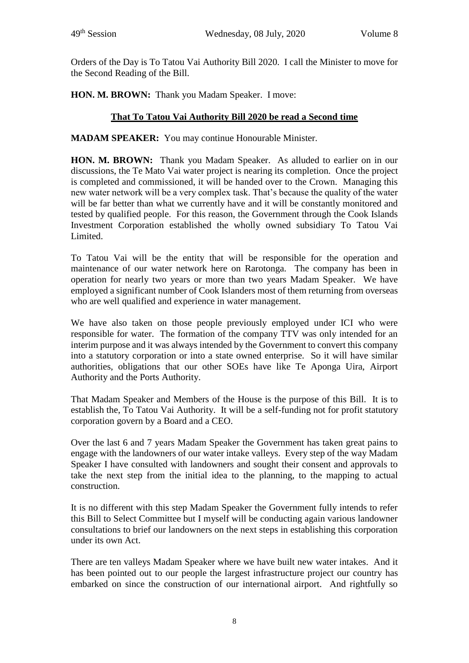Orders of the Day is To Tatou Vai Authority Bill 2020. I call the Minister to move for the Second Reading of the Bill.

**HON. M. BROWN:** Thank you Madam Speaker. I move:

## **That To Tatou Vai Authority Bill 2020 be read a Second time**

**MADAM SPEAKER:** You may continue Honourable Minister.

**HON. M. BROWN:** Thank you Madam Speaker. As alluded to earlier on in our discussions, the Te Mato Vai water project is nearing its completion. Once the project is completed and commissioned, it will be handed over to the Crown. Managing this new water network will be a very complex task. That's because the quality of the water will be far better than what we currently have and it will be constantly monitored and tested by qualified people. For this reason, the Government through the Cook Islands Investment Corporation established the wholly owned subsidiary To Tatou Vai Limited.

To Tatou Vai will be the entity that will be responsible for the operation and maintenance of our water network here on Rarotonga. The company has been in operation for nearly two years or more than two years Madam Speaker. We have employed a significant number of Cook Islanders most of them returning from overseas who are well qualified and experience in water management.

We have also taken on those people previously employed under ICI who were responsible for water. The formation of the company TTV was only intended for an interim purpose and it was always intended by the Government to convert this company into a statutory corporation or into a state owned enterprise. So it will have similar authorities, obligations that our other SOEs have like Te Aponga Uira, Airport Authority and the Ports Authority.

That Madam Speaker and Members of the House is the purpose of this Bill. It is to establish the, To Tatou Vai Authority. It will be a self-funding not for profit statutory corporation govern by a Board and a CEO.

Over the last 6 and 7 years Madam Speaker the Government has taken great pains to engage with the landowners of our water intake valleys. Every step of the way Madam Speaker I have consulted with landowners and sought their consent and approvals to take the next step from the initial idea to the planning, to the mapping to actual construction.

It is no different with this step Madam Speaker the Government fully intends to refer this Bill to Select Committee but I myself will be conducting again various landowner consultations to brief our landowners on the next steps in establishing this corporation under its own Act.

There are ten valleys Madam Speaker where we have built new water intakes. And it has been pointed out to our people the largest infrastructure project our country has embarked on since the construction of our international airport. And rightfully so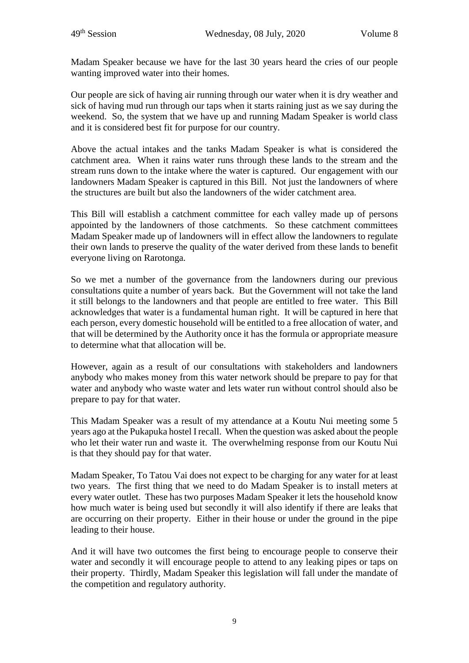Madam Speaker because we have for the last 30 years heard the cries of our people wanting improved water into their homes.

Our people are sick of having air running through our water when it is dry weather and sick of having mud run through our taps when it starts raining just as we say during the weekend. So, the system that we have up and running Madam Speaker is world class and it is considered best fit for purpose for our country.

Above the actual intakes and the tanks Madam Speaker is what is considered the catchment area. When it rains water runs through these lands to the stream and the stream runs down to the intake where the water is captured. Our engagement with our landowners Madam Speaker is captured in this Bill. Not just the landowners of where the structures are built but also the landowners of the wider catchment area.

This Bill will establish a catchment committee for each valley made up of persons appointed by the landowners of those catchments. So these catchment committees Madam Speaker made up of landowners will in effect allow the landowners to regulate their own lands to preserve the quality of the water derived from these lands to benefit everyone living on Rarotonga.

So we met a number of the governance from the landowners during our previous consultations quite a number of years back. But the Government will not take the land it still belongs to the landowners and that people are entitled to free water. This Bill acknowledges that water is a fundamental human right. It will be captured in here that each person, every domestic household will be entitled to a free allocation of water, and that will be determined by the Authority once it has the formula or appropriate measure to determine what that allocation will be.

However, again as a result of our consultations with stakeholders and landowners anybody who makes money from this water network should be prepare to pay for that water and anybody who waste water and lets water run without control should also be prepare to pay for that water.

This Madam Speaker was a result of my attendance at a Koutu Nui meeting some 5 years ago at the Pukapuka hostel I recall. When the question was asked about the people who let their water run and waste it. The overwhelming response from our Koutu Nui is that they should pay for that water.

Madam Speaker, To Tatou Vai does not expect to be charging for any water for at least two years. The first thing that we need to do Madam Speaker is to install meters at every water outlet. These has two purposes Madam Speaker it lets the household know how much water is being used but secondly it will also identify if there are leaks that are occurring on their property. Either in their house or under the ground in the pipe leading to their house.

And it will have two outcomes the first being to encourage people to conserve their water and secondly it will encourage people to attend to any leaking pipes or taps on their property. Thirdly, Madam Speaker this legislation will fall under the mandate of the competition and regulatory authority.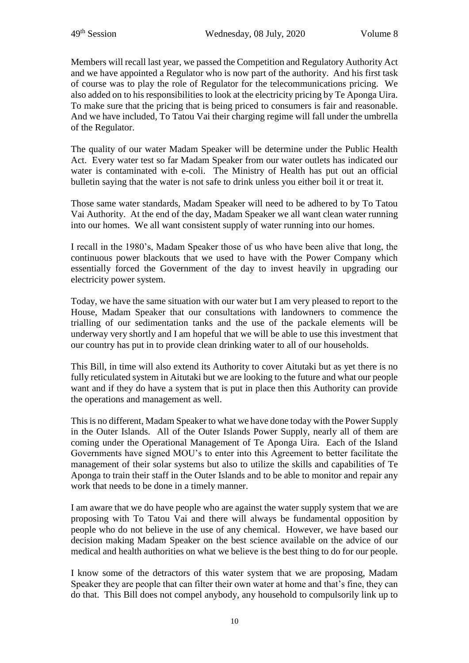Members will recall last year, we passed the Competition and Regulatory Authority Act and we have appointed a Regulator who is now part of the authority. And his first task of course was to play the role of Regulator for the telecommunications pricing. We also added on to his responsibilities to look at the electricity pricing by Te Aponga Uira. To make sure that the pricing that is being priced to consumers is fair and reasonable. And we have included, To Tatou Vai their charging regime will fall under the umbrella of the Regulator.

The quality of our water Madam Speaker will be determine under the Public Health Act. Every water test so far Madam Speaker from our water outlets has indicated our water is contaminated with e-coli. The Ministry of Health has put out an official bulletin saying that the water is not safe to drink unless you either boil it or treat it.

Those same water standards, Madam Speaker will need to be adhered to by To Tatou Vai Authority. At the end of the day, Madam Speaker we all want clean water running into our homes. We all want consistent supply of water running into our homes.

I recall in the 1980's, Madam Speaker those of us who have been alive that long, the continuous power blackouts that we used to have with the Power Company which essentially forced the Government of the day to invest heavily in upgrading our electricity power system.

Today, we have the same situation with our water but I am very pleased to report to the House, Madam Speaker that our consultations with landowners to commence the trialling of our sedimentation tanks and the use of the packale elements will be underway very shortly and I am hopeful that we will be able to use this investment that our country has put in to provide clean drinking water to all of our households.

This Bill, in time will also extend its Authority to cover Aitutaki but as yet there is no fully reticulated system in Aitutaki but we are looking to the future and what our people want and if they do have a system that is put in place then this Authority can provide the operations and management as well.

This is no different, Madam Speaker to what we have done today with the Power Supply in the Outer Islands. All of the Outer Islands Power Supply, nearly all of them are coming under the Operational Management of Te Aponga Uira. Each of the Island Governments have signed MOU's to enter into this Agreement to better facilitate the management of their solar systems but also to utilize the skills and capabilities of Te Aponga to train their staff in the Outer Islands and to be able to monitor and repair any work that needs to be done in a timely manner.

I am aware that we do have people who are against the water supply system that we are proposing with To Tatou Vai and there will always be fundamental opposition by people who do not believe in the use of any chemical. However, we have based our decision making Madam Speaker on the best science available on the advice of our medical and health authorities on what we believe is the best thing to do for our people.

I know some of the detractors of this water system that we are proposing, Madam Speaker they are people that can filter their own water at home and that's fine, they can do that. This Bill does not compel anybody, any household to compulsorily link up to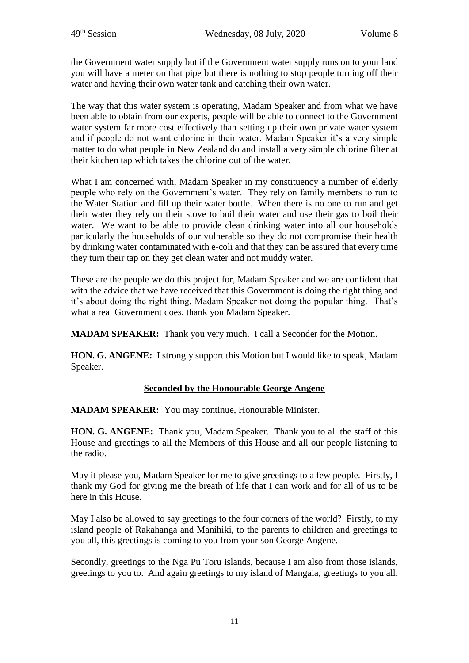the Government water supply but if the Government water supply runs on to your land you will have a meter on that pipe but there is nothing to stop people turning off their water and having their own water tank and catching their own water.

The way that this water system is operating, Madam Speaker and from what we have been able to obtain from our experts, people will be able to connect to the Government water system far more cost effectively than setting up their own private water system and if people do not want chlorine in their water. Madam Speaker it's a very simple matter to do what people in New Zealand do and install a very simple chlorine filter at their kitchen tap which takes the chlorine out of the water.

What I am concerned with, Madam Speaker in my constituency a number of elderly people who rely on the Government's water. They rely on family members to run to the Water Station and fill up their water bottle. When there is no one to run and get their water they rely on their stove to boil their water and use their gas to boil their water. We want to be able to provide clean drinking water into all our households particularly the households of our vulnerable so they do not compromise their health by drinking water contaminated with e-coli and that they can be assured that every time they turn their tap on they get clean water and not muddy water.

These are the people we do this project for, Madam Speaker and we are confident that with the advice that we have received that this Government is doing the right thing and it's about doing the right thing, Madam Speaker not doing the popular thing. That's what a real Government does, thank you Madam Speaker.

**MADAM SPEAKER:** Thank you very much. I call a Seconder for the Motion.

**HON. G. ANGENE:** I strongly support this Motion but I would like to speak, Madam Speaker.

# **Seconded by the Honourable George Angene**

**MADAM SPEAKER:** You may continue, Honourable Minister.

**HON. G. ANGENE:** Thank you, Madam Speaker. Thank you to all the staff of this House and greetings to all the Members of this House and all our people listening to the radio.

May it please you, Madam Speaker for me to give greetings to a few people. Firstly, I thank my God for giving me the breath of life that I can work and for all of us to be here in this House.

May I also be allowed to say greetings to the four corners of the world? Firstly, to my island people of Rakahanga and Manihiki, to the parents to children and greetings to you all, this greetings is coming to you from your son George Angene.

Secondly, greetings to the Nga Pu Toru islands, because I am also from those islands, greetings to you to. And again greetings to my island of Mangaia, greetings to you all.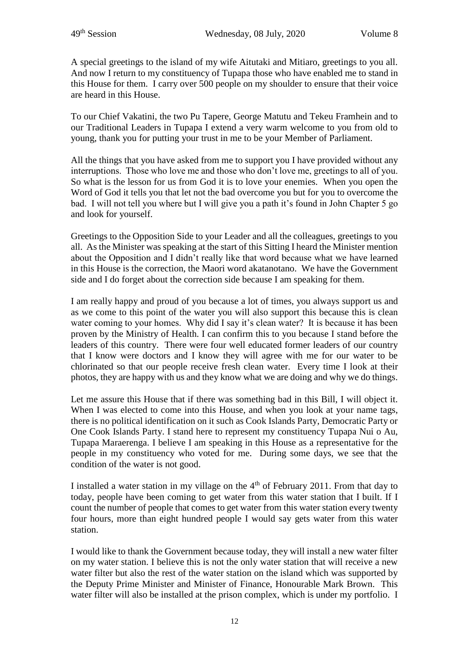A special greetings to the island of my wife Aitutaki and Mitiaro, greetings to you all. And now I return to my constituency of Tupapa those who have enabled me to stand in this House for them. I carry over 500 people on my shoulder to ensure that their voice are heard in this House.

To our Chief Vakatini, the two Pu Tapere, George Matutu and Tekeu Framhein and to our Traditional Leaders in Tupapa I extend a very warm welcome to you from old to young, thank you for putting your trust in me to be your Member of Parliament.

All the things that you have asked from me to support you I have provided without any interruptions. Those who love me and those who don't love me, greetings to all of you. So what is the lesson for us from God it is to love your enemies. When you open the Word of God it tells you that let not the bad overcome you but for you to overcome the bad. I will not tell you where but I will give you a path it's found in John Chapter 5 go and look for yourself.

Greetings to the Opposition Side to your Leader and all the colleagues, greetings to you all. As the Minister was speaking at the start of this Sitting I heard the Minister mention about the Opposition and I didn't really like that word because what we have learned in this House is the correction, the Maori word akatanotano. We have the Government side and I do forget about the correction side because I am speaking for them.

I am really happy and proud of you because a lot of times, you always support us and as we come to this point of the water you will also support this because this is clean water coming to your homes. Why did I say it's clean water? It is because it has been proven by the Ministry of Health. I can confirm this to you because I stand before the leaders of this country. There were four well educated former leaders of our country that I know were doctors and I know they will agree with me for our water to be chlorinated so that our people receive fresh clean water. Every time I look at their photos, they are happy with us and they know what we are doing and why we do things.

Let me assure this House that if there was something bad in this Bill, I will object it. When I was elected to come into this House, and when you look at your name tags, there is no political identification on it such as Cook Islands Party, Democratic Party or One Cook Islands Party. I stand here to represent my constituency Tupapa Nui o Au, Tupapa Maraerenga. I believe I am speaking in this House as a representative for the people in my constituency who voted for me. During some days, we see that the condition of the water is not good.

I installed a water station in my village on the 4th of February 2011. From that day to today, people have been coming to get water from this water station that I built. If I count the number of people that comes to get water from this water station every twenty four hours, more than eight hundred people I would say gets water from this water station.

I would like to thank the Government because today, they will install a new water filter on my water station. I believe this is not the only water station that will receive a new water filter but also the rest of the water station on the island which was supported by the Deputy Prime Minister and Minister of Finance, Honourable Mark Brown. This water filter will also be installed at the prison complex, which is under my portfolio. I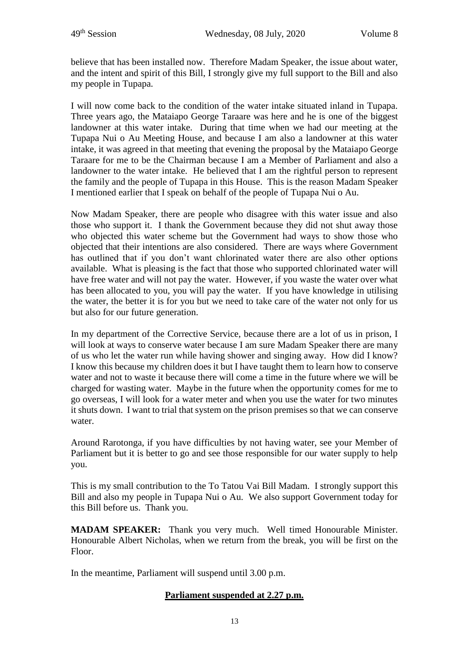believe that has been installed now. Therefore Madam Speaker, the issue about water, and the intent and spirit of this Bill, I strongly give my full support to the Bill and also my people in Tupapa.

I will now come back to the condition of the water intake situated inland in Tupapa. Three years ago, the Mataiapo George Taraare was here and he is one of the biggest landowner at this water intake. During that time when we had our meeting at the Tupapa Nui o Au Meeting House, and because I am also a landowner at this water intake, it was agreed in that meeting that evening the proposal by the Mataiapo George Taraare for me to be the Chairman because I am a Member of Parliament and also a landowner to the water intake. He believed that I am the rightful person to represent the family and the people of Tupapa in this House. This is the reason Madam Speaker I mentioned earlier that I speak on behalf of the people of Tupapa Nui o Au.

Now Madam Speaker, there are people who disagree with this water issue and also those who support it. I thank the Government because they did not shut away those who objected this water scheme but the Government had ways to show those who objected that their intentions are also considered. There are ways where Government has outlined that if you don't want chlorinated water there are also other options available. What is pleasing is the fact that those who supported chlorinated water will have free water and will not pay the water. However, if you waste the water over what has been allocated to you, you will pay the water. If you have knowledge in utilising the water, the better it is for you but we need to take care of the water not only for us but also for our future generation.

In my department of the Corrective Service, because there are a lot of us in prison, I will look at ways to conserve water because I am sure Madam Speaker there are many of us who let the water run while having shower and singing away. How did I know? I know this because my children does it but I have taught them to learn how to conserve water and not to waste it because there will come a time in the future where we will be charged for wasting water. Maybe in the future when the opportunity comes for me to go overseas, I will look for a water meter and when you use the water for two minutes it shuts down. I want to trial that system on the prison premises so that we can conserve water.

Around Rarotonga, if you have difficulties by not having water, see your Member of Parliament but it is better to go and see those responsible for our water supply to help you.

This is my small contribution to the To Tatou Vai Bill Madam. I strongly support this Bill and also my people in Tupapa Nui o Au. We also support Government today for this Bill before us. Thank you.

**MADAM SPEAKER:** Thank you very much. Well timed Honourable Minister. Honourable Albert Nicholas, when we return from the break, you will be first on the Floor.

In the meantime, Parliament will suspend until 3.00 p.m.

# **Parliament suspended at 2.27 p.m.**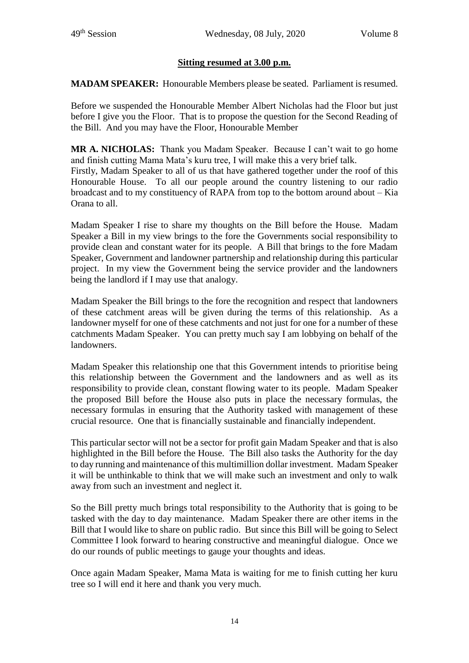## **Sitting resumed at 3.00 p.m.**

**MADAM SPEAKER:** Honourable Members please be seated. Parliament is resumed.

Before we suspended the Honourable Member Albert Nicholas had the Floor but just before I give you the Floor. That is to propose the question for the Second Reading of the Bill. And you may have the Floor, Honourable Member

**MR A. NICHOLAS:** Thank you Madam Speaker. Because I can't wait to go home and finish cutting Mama Mata's kuru tree, I will make this a very brief talk.

Firstly, Madam Speaker to all of us that have gathered together under the roof of this Honourable House. To all our people around the country listening to our radio broadcast and to my constituency of RAPA from top to the bottom around about – Kia Orana to all.

Madam Speaker I rise to share my thoughts on the Bill before the House. Madam Speaker a Bill in my view brings to the fore the Governments social responsibility to provide clean and constant water for its people. A Bill that brings to the fore Madam Speaker, Government and landowner partnership and relationship during this particular project. In my view the Government being the service provider and the landowners being the landlord if I may use that analogy.

Madam Speaker the Bill brings to the fore the recognition and respect that landowners of these catchment areas will be given during the terms of this relationship. As a landowner myself for one of these catchments and not just for one for a number of these catchments Madam Speaker. You can pretty much say I am lobbying on behalf of the landowners.

Madam Speaker this relationship one that this Government intends to prioritise being this relationship between the Government and the landowners and as well as its responsibility to provide clean, constant flowing water to its people. Madam Speaker the proposed Bill before the House also puts in place the necessary formulas, the necessary formulas in ensuring that the Authority tasked with management of these crucial resource. One that is financially sustainable and financially independent.

This particular sector will not be a sector for profit gain Madam Speaker and that is also highlighted in the Bill before the House. The Bill also tasks the Authority for the day to day running and maintenance of this multimillion dollar investment. Madam Speaker it will be unthinkable to think that we will make such an investment and only to walk away from such an investment and neglect it.

So the Bill pretty much brings total responsibility to the Authority that is going to be tasked with the day to day maintenance. Madam Speaker there are other items in the Bill that I would like to share on public radio. But since this Bill will be going to Select Committee I look forward to hearing constructive and meaningful dialogue. Once we do our rounds of public meetings to gauge your thoughts and ideas.

Once again Madam Speaker, Mama Mata is waiting for me to finish cutting her kuru tree so I will end it here and thank you very much.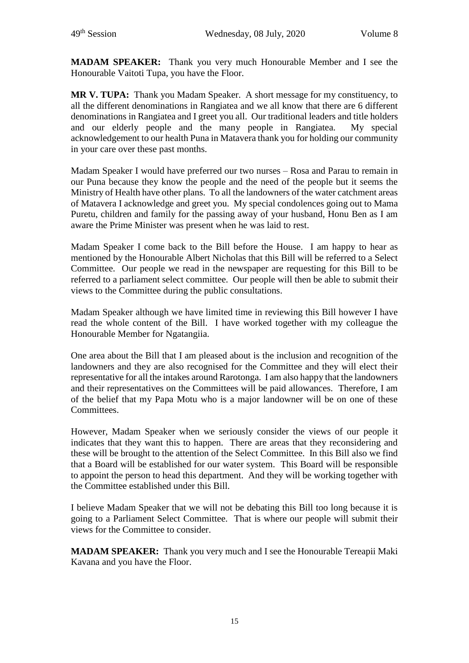**MADAM SPEAKER:** Thank you very much Honourable Member and I see the Honourable Vaitoti Tupa, you have the Floor.

**MR V. TUPA:** Thank you Madam Speaker. A short message for my constituency, to all the different denominations in Rangiatea and we all know that there are 6 different denominations in Rangiatea and I greet you all. Our traditional leaders and title holders and our elderly people and the many people in Rangiatea. My special acknowledgement to our health Puna in Matavera thank you for holding our community in your care over these past months.

Madam Speaker I would have preferred our two nurses – Rosa and Parau to remain in our Puna because they know the people and the need of the people but it seems the Ministry of Health have other plans. To all the landowners of the water catchment areas of Matavera I acknowledge and greet you. My special condolences going out to Mama Puretu, children and family for the passing away of your husband, Honu Ben as I am aware the Prime Minister was present when he was laid to rest.

Madam Speaker I come back to the Bill before the House. I am happy to hear as mentioned by the Honourable Albert Nicholas that this Bill will be referred to a Select Committee. Our people we read in the newspaper are requesting for this Bill to be referred to a parliament select committee. Our people will then be able to submit their views to the Committee during the public consultations.

Madam Speaker although we have limited time in reviewing this Bill however I have read the whole content of the Bill. I have worked together with my colleague the Honourable Member for Ngatangiia.

One area about the Bill that I am pleased about is the inclusion and recognition of the landowners and they are also recognised for the Committee and they will elect their representative for all the intakes around Rarotonga. I am also happy that the landowners and their representatives on the Committees will be paid allowances. Therefore, I am of the belief that my Papa Motu who is a major landowner will be on one of these Committees.

However, Madam Speaker when we seriously consider the views of our people it indicates that they want this to happen. There are areas that they reconsidering and these will be brought to the attention of the Select Committee. In this Bill also we find that a Board will be established for our water system. This Board will be responsible to appoint the person to head this department. And they will be working together with the Committee established under this Bill.

I believe Madam Speaker that we will not be debating this Bill too long because it is going to a Parliament Select Committee. That is where our people will submit their views for the Committee to consider.

**MADAM SPEAKER:** Thank you very much and I see the Honourable Tereapii Maki Kavana and you have the Floor.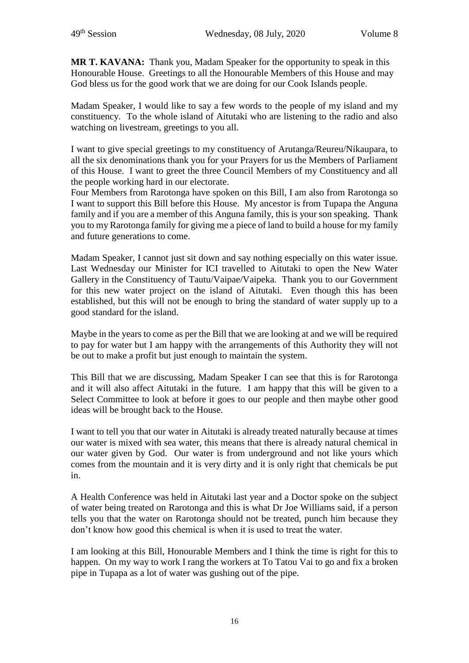**MR T. KAVANA:** Thank you, Madam Speaker for the opportunity to speak in this Honourable House. Greetings to all the Honourable Members of this House and may God bless us for the good work that we are doing for our Cook Islands people.

Madam Speaker, I would like to say a few words to the people of my island and my constituency. To the whole island of Aitutaki who are listening to the radio and also watching on livestream, greetings to you all.

I want to give special greetings to my constituency of Arutanga/Reureu/Nikaupara, to all the six denominations thank you for your Prayers for us the Members of Parliament of this House. I want to greet the three Council Members of my Constituency and all the people working hard in our electorate.

Four Members from Rarotonga have spoken on this Bill, I am also from Rarotonga so I want to support this Bill before this House. My ancestor is from Tupapa the Anguna family and if you are a member of this Anguna family, this is your son speaking. Thank you to my Rarotonga family for giving me a piece of land to build a house for my family and future generations to come.

Madam Speaker, I cannot just sit down and say nothing especially on this water issue. Last Wednesday our Minister for ICI travelled to Aitutaki to open the New Water Gallery in the Constituency of Tautu/Vaipae/Vaipeka. Thank you to our Government for this new water project on the island of Aitutaki. Even though this has been established, but this will not be enough to bring the standard of water supply up to a good standard for the island.

Maybe in the years to come as per the Bill that we are looking at and we will be required to pay for water but I am happy with the arrangements of this Authority they will not be out to make a profit but just enough to maintain the system.

This Bill that we are discussing, Madam Speaker I can see that this is for Rarotonga and it will also affect Aitutaki in the future. I am happy that this will be given to a Select Committee to look at before it goes to our people and then maybe other good ideas will be brought back to the House.

I want to tell you that our water in Aitutaki is already treated naturally because at times our water is mixed with sea water, this means that there is already natural chemical in our water given by God. Our water is from underground and not like yours which comes from the mountain and it is very dirty and it is only right that chemicals be put in.

A Health Conference was held in Aitutaki last year and a Doctor spoke on the subject of water being treated on Rarotonga and this is what Dr Joe Williams said, if a person tells you that the water on Rarotonga should not be treated, punch him because they don't know how good this chemical is when it is used to treat the water.

I am looking at this Bill, Honourable Members and I think the time is right for this to happen. On my way to work I rang the workers at To Tatou Vai to go and fix a broken pipe in Tupapa as a lot of water was gushing out of the pipe.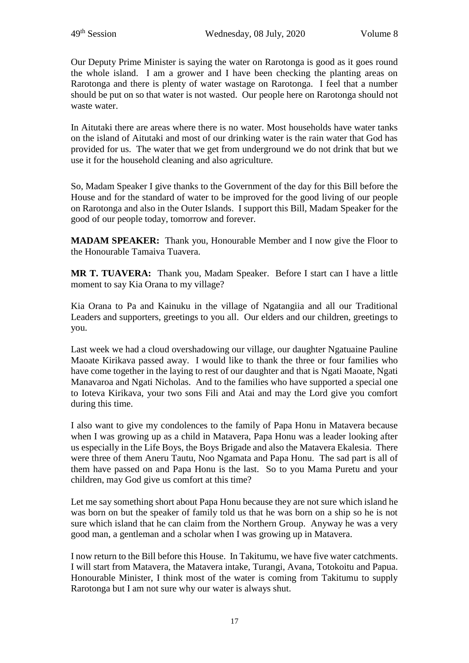Our Deputy Prime Minister is saying the water on Rarotonga is good as it goes round the whole island. I am a grower and I have been checking the planting areas on Rarotonga and there is plenty of water wastage on Rarotonga. I feel that a number should be put on so that water is not wasted. Our people here on Rarotonga should not waste water.

In Aitutaki there are areas where there is no water. Most households have water tanks on the island of Aitutaki and most of our drinking water is the rain water that God has provided for us. The water that we get from underground we do not drink that but we use it for the household cleaning and also agriculture.

So, Madam Speaker I give thanks to the Government of the day for this Bill before the House and for the standard of water to be improved for the good living of our people on Rarotonga and also in the Outer Islands. I support this Bill, Madam Speaker for the good of our people today, tomorrow and forever.

**MADAM SPEAKER:** Thank you, Honourable Member and I now give the Floor to the Honourable Tamaiva Tuavera.

**MR T. TUAVERA:** Thank you, Madam Speaker. Before I start can I have a little moment to say Kia Orana to my village?

Kia Orana to Pa and Kainuku in the village of Ngatangiia and all our Traditional Leaders and supporters, greetings to you all. Our elders and our children, greetings to you.

Last week we had a cloud overshadowing our village, our daughter Ngatuaine Pauline Maoate Kirikava passed away. I would like to thank the three or four families who have come together in the laying to rest of our daughter and that is Ngati Maoate, Ngati Manavaroa and Ngati Nicholas. And to the families who have supported a special one to Ioteva Kirikava, your two sons Fili and Atai and may the Lord give you comfort during this time.

I also want to give my condolences to the family of Papa Honu in Matavera because when I was growing up as a child in Matavera, Papa Honu was a leader looking after us especially in the Life Boys, the Boys Brigade and also the Matavera Ekalesia. There were three of them Aneru Tautu, Noo Ngamata and Papa Honu. The sad part is all of them have passed on and Papa Honu is the last. So to you Mama Puretu and your children, may God give us comfort at this time?

Let me say something short about Papa Honu because they are not sure which island he was born on but the speaker of family told us that he was born on a ship so he is not sure which island that he can claim from the Northern Group. Anyway he was a very good man, a gentleman and a scholar when I was growing up in Matavera.

I now return to the Bill before this House. In Takitumu, we have five water catchments. I will start from Matavera, the Matavera intake, Turangi, Avana, Totokoitu and Papua. Honourable Minister, I think most of the water is coming from Takitumu to supply Rarotonga but I am not sure why our water is always shut.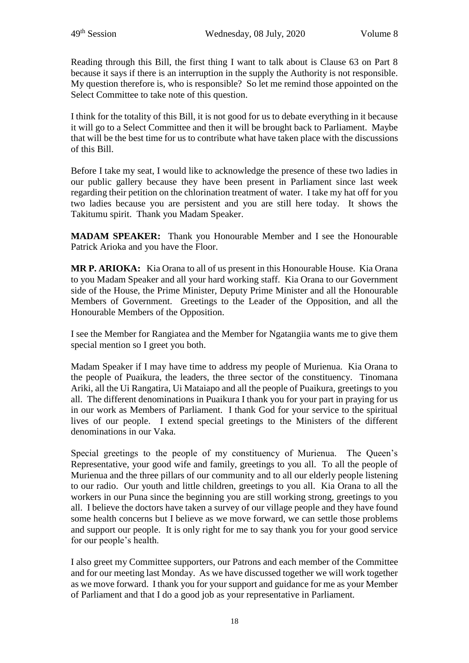Reading through this Bill, the first thing I want to talk about is Clause 63 on Part 8 because it says if there is an interruption in the supply the Authority is not responsible. My question therefore is, who is responsible? So let me remind those appointed on the Select Committee to take note of this question.

I think for the totality of this Bill, it is not good for us to debate everything in it because it will go to a Select Committee and then it will be brought back to Parliament. Maybe that will be the best time for us to contribute what have taken place with the discussions of this Bill.

Before I take my seat, I would like to acknowledge the presence of these two ladies in our public gallery because they have been present in Parliament since last week regarding their petition on the chlorination treatment of water. I take my hat off for you two ladies because you are persistent and you are still here today. It shows the Takitumu spirit. Thank you Madam Speaker.

**MADAM SPEAKER:** Thank you Honourable Member and I see the Honourable Patrick Arioka and you have the Floor.

**MR P. ARIOKA:** Kia Orana to all of us present in this Honourable House. Kia Orana to you Madam Speaker and all your hard working staff. Kia Orana to our Government side of the House, the Prime Minister, Deputy Prime Minister and all the Honourable Members of Government. Greetings to the Leader of the Opposition, and all the Honourable Members of the Opposition.

I see the Member for Rangiatea and the Member for Ngatangiia wants me to give them special mention so I greet you both.

Madam Speaker if I may have time to address my people of Murienua. Kia Orana to the people of Puaikura, the leaders, the three sector of the constituency. Tinomana Ariki, all the Ui Rangatira, Ui Mataiapo and all the people of Puaikura, greetings to you all. The different denominations in Puaikura I thank you for your part in praying for us in our work as Members of Parliament. I thank God for your service to the spiritual lives of our people. I extend special greetings to the Ministers of the different denominations in our Vaka.

Special greetings to the people of my constituency of Murienua. The Queen's Representative, your good wife and family, greetings to you all. To all the people of Murienua and the three pillars of our community and to all our elderly people listening to our radio. Our youth and little children, greetings to you all. Kia Orana to all the workers in our Puna since the beginning you are still working strong, greetings to you all. I believe the doctors have taken a survey of our village people and they have found some health concerns but I believe as we move forward, we can settle those problems and support our people. It is only right for me to say thank you for your good service for our people's health.

I also greet my Committee supporters, our Patrons and each member of the Committee and for our meeting last Monday. As we have discussed together we will work together as we move forward. I thank you for your support and guidance for me as your Member of Parliament and that I do a good job as your representative in Parliament.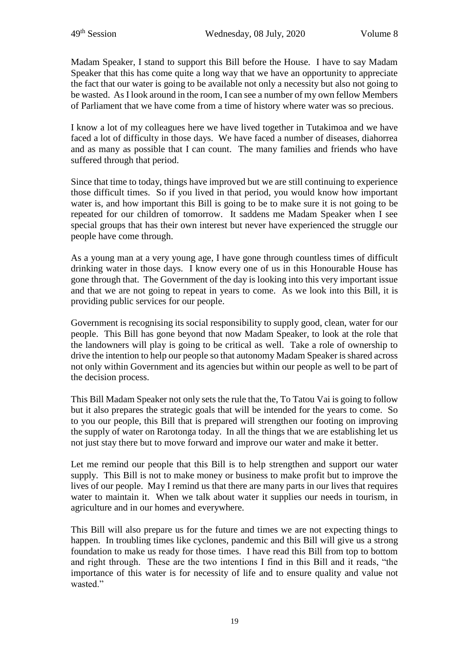Madam Speaker, I stand to support this Bill before the House. I have to say Madam Speaker that this has come quite a long way that we have an opportunity to appreciate the fact that our water is going to be available not only a necessity but also not going to be wasted. As I look around in the room, I can see a number of my own fellow Members of Parliament that we have come from a time of history where water was so precious.

I know a lot of my colleagues here we have lived together in Tutakimoa and we have faced a lot of difficulty in those days. We have faced a number of diseases, diahorrea and as many as possible that I can count. The many families and friends who have suffered through that period.

Since that time to today, things have improved but we are still continuing to experience those difficult times. So if you lived in that period, you would know how important water is, and how important this Bill is going to be to make sure it is not going to be repeated for our children of tomorrow. It saddens me Madam Speaker when I see special groups that has their own interest but never have experienced the struggle our people have come through.

As a young man at a very young age, I have gone through countless times of difficult drinking water in those days. I know every one of us in this Honourable House has gone through that. The Government of the day is looking into this very important issue and that we are not going to repeat in years to come. As we look into this Bill, it is providing public services for our people.

Government is recognising its social responsibility to supply good, clean, water for our people. This Bill has gone beyond that now Madam Speaker, to look at the role that the landowners will play is going to be critical as well. Take a role of ownership to drive the intention to help our people so that autonomy Madam Speaker is shared across not only within Government and its agencies but within our people as well to be part of the decision process.

This Bill Madam Speaker not only sets the rule that the, To Tatou Vai is going to follow but it also prepares the strategic goals that will be intended for the years to come. So to you our people, this Bill that is prepared will strengthen our footing on improving the supply of water on Rarotonga today. In all the things that we are establishing let us not just stay there but to move forward and improve our water and make it better.

Let me remind our people that this Bill is to help strengthen and support our water supply. This Bill is not to make money or business to make profit but to improve the lives of our people. May I remind us that there are many parts in our lives that requires water to maintain it. When we talk about water it supplies our needs in tourism, in agriculture and in our homes and everywhere.

This Bill will also prepare us for the future and times we are not expecting things to happen. In troubling times like cyclones, pandemic and this Bill will give us a strong foundation to make us ready for those times. I have read this Bill from top to bottom and right through. These are the two intentions I find in this Bill and it reads, "the importance of this water is for necessity of life and to ensure quality and value not wasted."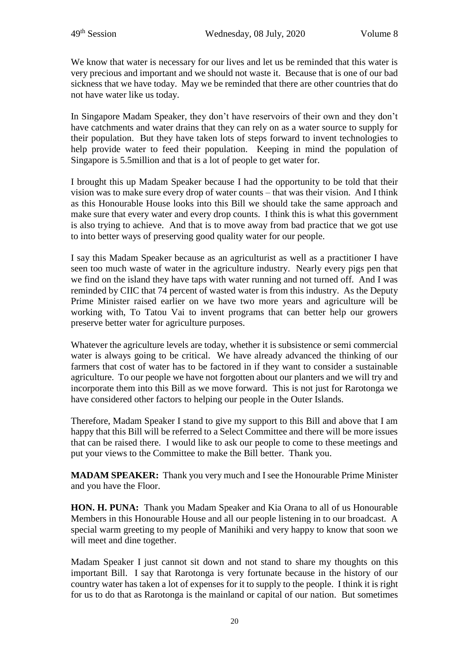We know that water is necessary for our lives and let us be reminded that this water is very precious and important and we should not waste it. Because that is one of our bad sickness that we have today. May we be reminded that there are other countries that do not have water like us today.

In Singapore Madam Speaker, they don't have reservoirs of their own and they don't have catchments and water drains that they can rely on as a water source to supply for their population. But they have taken lots of steps forward to invent technologies to help provide water to feed their population. Keeping in mind the population of Singapore is 5.5million and that is a lot of people to get water for.

I brought this up Madam Speaker because I had the opportunity to be told that their vision was to make sure every drop of water counts – that was their vision. And I think as this Honourable House looks into this Bill we should take the same approach and make sure that every water and every drop counts. I think this is what this government is also trying to achieve. And that is to move away from bad practice that we got use to into better ways of preserving good quality water for our people.

I say this Madam Speaker because as an agriculturist as well as a practitioner I have seen too much waste of water in the agriculture industry. Nearly every pigs pen that we find on the island they have taps with water running and not turned off. And I was reminded by CIIC that 74 percent of wasted water is from this industry. As the Deputy Prime Minister raised earlier on we have two more years and agriculture will be working with, To Tatou Vai to invent programs that can better help our growers preserve better water for agriculture purposes.

Whatever the agriculture levels are today, whether it is subsistence or semi commercial water is always going to be critical. We have already advanced the thinking of our farmers that cost of water has to be factored in if they want to consider a sustainable agriculture. To our people we have not forgotten about our planters and we will try and incorporate them into this Bill as we move forward. This is not just for Rarotonga we have considered other factors to helping our people in the Outer Islands.

Therefore, Madam Speaker I stand to give my support to this Bill and above that I am happy that this Bill will be referred to a Select Committee and there will be more issues that can be raised there. I would like to ask our people to come to these meetings and put your views to the Committee to make the Bill better. Thank you.

**MADAM SPEAKER:** Thank you very much and I see the Honourable Prime Minister and you have the Floor.

**HON. H. PUNA:** Thank you Madam Speaker and Kia Orana to all of us Honourable Members in this Honourable House and all our people listening in to our broadcast. A special warm greeting to my people of Manihiki and very happy to know that soon we will meet and dine together.

Madam Speaker I just cannot sit down and not stand to share my thoughts on this important Bill. I say that Rarotonga is very fortunate because in the history of our country water has taken a lot of expenses for it to supply to the people. I think it is right for us to do that as Rarotonga is the mainland or capital of our nation. But sometimes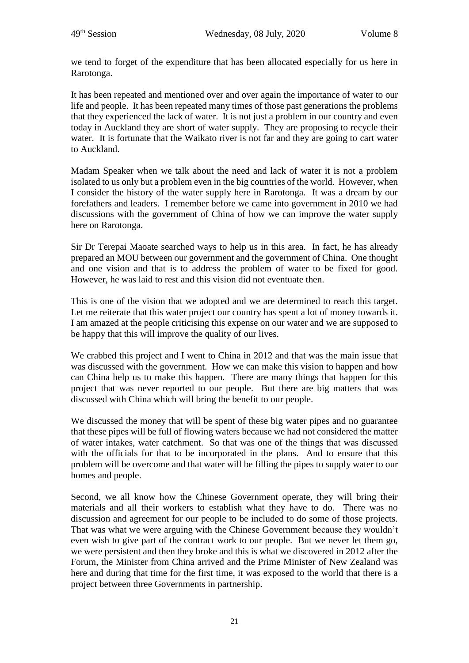we tend to forget of the expenditure that has been allocated especially for us here in Rarotonga.

It has been repeated and mentioned over and over again the importance of water to our life and people. It has been repeated many times of those past generations the problems that they experienced the lack of water. It is not just a problem in our country and even today in Auckland they are short of water supply. They are proposing to recycle their water. It is fortunate that the Waikato river is not far and they are going to cart water to Auckland.

Madam Speaker when we talk about the need and lack of water it is not a problem isolated to us only but a problem even in the big countries of the world. However, when I consider the history of the water supply here in Rarotonga. It was a dream by our forefathers and leaders. I remember before we came into government in 2010 we had discussions with the government of China of how we can improve the water supply here on Rarotonga.

Sir Dr Terepai Maoate searched ways to help us in this area. In fact, he has already prepared an MOU between our government and the government of China. One thought and one vision and that is to address the problem of water to be fixed for good. However, he was laid to rest and this vision did not eventuate then.

This is one of the vision that we adopted and we are determined to reach this target. Let me reiterate that this water project our country has spent a lot of money towards it. I am amazed at the people criticising this expense on our water and we are supposed to be happy that this will improve the quality of our lives.

We crabbed this project and I went to China in 2012 and that was the main issue that was discussed with the government. How we can make this vision to happen and how can China help us to make this happen. There are many things that happen for this project that was never reported to our people. But there are big matters that was discussed with China which will bring the benefit to our people.

We discussed the money that will be spent of these big water pipes and no guarantee that these pipes will be full of flowing waters because we had not considered the matter of water intakes, water catchment. So that was one of the things that was discussed with the officials for that to be incorporated in the plans. And to ensure that this problem will be overcome and that water will be filling the pipes to supply water to our homes and people.

Second, we all know how the Chinese Government operate, they will bring their materials and all their workers to establish what they have to do. There was no discussion and agreement for our people to be included to do some of those projects. That was what we were arguing with the Chinese Government because they wouldn't even wish to give part of the contract work to our people. But we never let them go, we were persistent and then they broke and this is what we discovered in 2012 after the Forum, the Minister from China arrived and the Prime Minister of New Zealand was here and during that time for the first time, it was exposed to the world that there is a project between three Governments in partnership.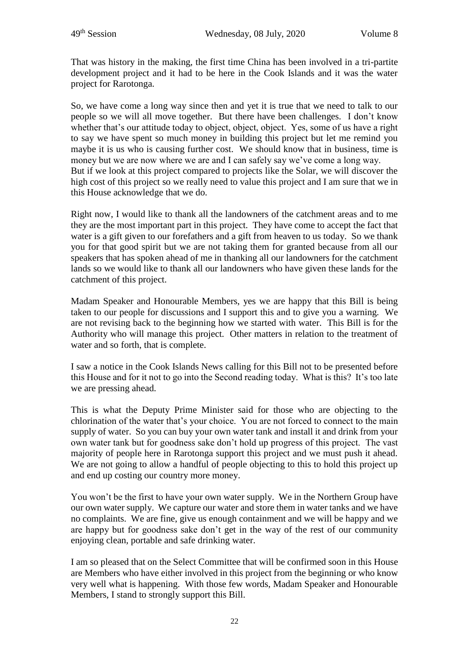That was history in the making, the first time China has been involved in a tri-partite development project and it had to be here in the Cook Islands and it was the water project for Rarotonga.

So, we have come a long way since then and yet it is true that we need to talk to our people so we will all move together. But there have been challenges. I don't know whether that's our attitude today to object, object, object. Yes, some of us have a right to say we have spent so much money in building this project but let me remind you maybe it is us who is causing further cost. We should know that in business, time is money but we are now where we are and I can safely say we've come a long way. But if we look at this project compared to projects like the Solar, we will discover the high cost of this project so we really need to value this project and I am sure that we in this House acknowledge that we do.

Right now, I would like to thank all the landowners of the catchment areas and to me they are the most important part in this project. They have come to accept the fact that water is a gift given to our forefathers and a gift from heaven to us today. So we thank you for that good spirit but we are not taking them for granted because from all our speakers that has spoken ahead of me in thanking all our landowners for the catchment lands so we would like to thank all our landowners who have given these lands for the catchment of this project.

Madam Speaker and Honourable Members, yes we are happy that this Bill is being taken to our people for discussions and I support this and to give you a warning. We are not revising back to the beginning how we started with water. This Bill is for the Authority who will manage this project. Other matters in relation to the treatment of water and so forth, that is complete.

I saw a notice in the Cook Islands News calling for this Bill not to be presented before this House and for it not to go into the Second reading today. What is this? It's too late we are pressing ahead.

This is what the Deputy Prime Minister said for those who are objecting to the chlorination of the water that's your choice. You are not forced to connect to the main supply of water. So you can buy your own water tank and install it and drink from your own water tank but for goodness sake don't hold up progress of this project. The vast majority of people here in Rarotonga support this project and we must push it ahead. We are not going to allow a handful of people objecting to this to hold this project up and end up costing our country more money.

You won't be the first to have your own water supply. We in the Northern Group have our own water supply. We capture our water and store them in water tanks and we have no complaints. We are fine, give us enough containment and we will be happy and we are happy but for goodness sake don't get in the way of the rest of our community enjoying clean, portable and safe drinking water.

I am so pleased that on the Select Committee that will be confirmed soon in this House are Members who have either involved in this project from the beginning or who know very well what is happening. With those few words, Madam Speaker and Honourable Members, I stand to strongly support this Bill.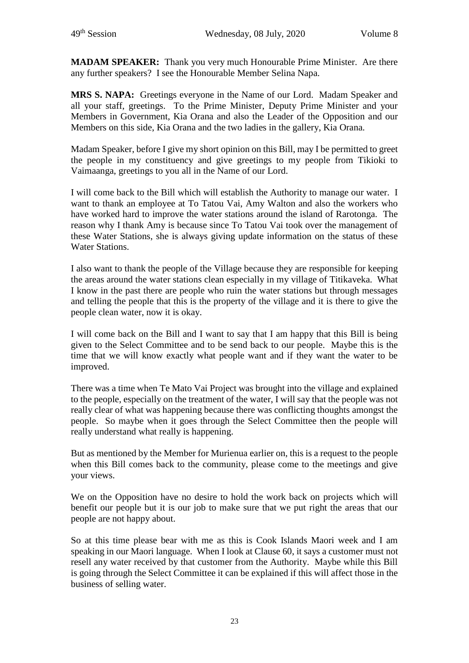**MADAM SPEAKER:** Thank you very much Honourable Prime Minister. Are there any further speakers? I see the Honourable Member Selina Napa.

**MRS S. NAPA:** Greetings everyone in the Name of our Lord. Madam Speaker and all your staff, greetings. To the Prime Minister, Deputy Prime Minister and your Members in Government, Kia Orana and also the Leader of the Opposition and our Members on this side, Kia Orana and the two ladies in the gallery, Kia Orana.

Madam Speaker, before I give my short opinion on this Bill, may I be permitted to greet the people in my constituency and give greetings to my people from Tikioki to Vaimaanga, greetings to you all in the Name of our Lord.

I will come back to the Bill which will establish the Authority to manage our water. I want to thank an employee at To Tatou Vai, Amy Walton and also the workers who have worked hard to improve the water stations around the island of Rarotonga. The reason why I thank Amy is because since To Tatou Vai took over the management of these Water Stations, she is always giving update information on the status of these Water Stations.

I also want to thank the people of the Village because they are responsible for keeping the areas around the water stations clean especially in my village of Titikaveka. What I know in the past there are people who ruin the water stations but through messages and telling the people that this is the property of the village and it is there to give the people clean water, now it is okay.

I will come back on the Bill and I want to say that I am happy that this Bill is being given to the Select Committee and to be send back to our people. Maybe this is the time that we will know exactly what people want and if they want the water to be improved.

There was a time when Te Mato Vai Project was brought into the village and explained to the people, especially on the treatment of the water, I will say that the people was not really clear of what was happening because there was conflicting thoughts amongst the people. So maybe when it goes through the Select Committee then the people will really understand what really is happening.

But as mentioned by the Member for Murienua earlier on, this is a request to the people when this Bill comes back to the community, please come to the meetings and give your views.

We on the Opposition have no desire to hold the work back on projects which will benefit our people but it is our job to make sure that we put right the areas that our people are not happy about.

So at this time please bear with me as this is Cook Islands Maori week and I am speaking in our Maori language. When I look at Clause 60, it says a customer must not resell any water received by that customer from the Authority. Maybe while this Bill is going through the Select Committee it can be explained if this will affect those in the business of selling water.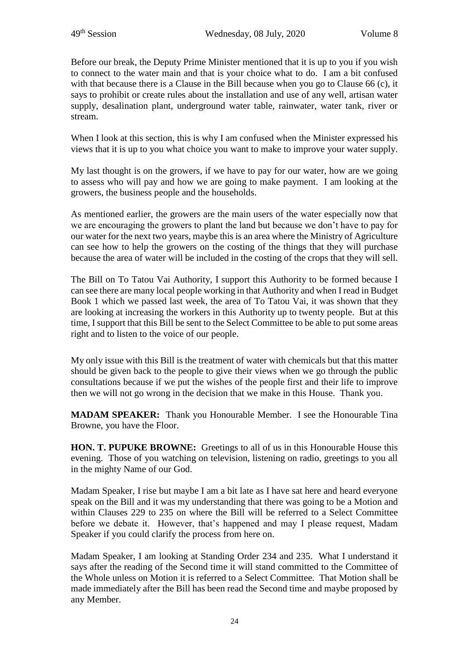Before our break, the Deputy Prime Minister mentioned that it is up to you if you wish to connect to the water main and that is your choice what to do. I am a bit confused with that because there is a Clause in the Bill because when you go to Clause 66 (c), it says to prohibit or create rules about the installation and use of any well, artisan water supply, desalination plant, underground water table, rainwater, water tank, river or stream.

When I look at this section, this is why I am confused when the Minister expressed his views that it is up to you what choice you want to make to improve your water supply.

My last thought is on the growers, if we have to pay for our water, how are we going to assess who will pay and how we are going to make payment. I am looking at the growers, the business people and the households.

As mentioned earlier, the growers are the main users of the water especially now that we are encouraging the growers to plant the land but because we don't have to pay for our water for the next two years, maybe this is an area where the Ministry of Agriculture can see how to help the growers on the costing of the things that they will purchase because the area of water will be included in the costing of the crops that they will sell.

The Bill on To Tatou Vai Authority, I support this Authority to be formed because I can see there are many local people working in that Authority and when I read in Budget Book 1 which we passed last week, the area of To Tatou Vai, it was shown that they are looking at increasing the workers in this Authority up to twenty people. But at this time, I support that this Bill be sent to the Select Committee to be able to put some areas right and to listen to the voice of our people.

My only issue with this Bill is the treatment of water with chemicals but that this matter should be given back to the people to give their views when we go through the public consultations because if we put the wishes of the people first and their life to improve then we will not go wrong in the decision that we make in this House. Thank you.

**MADAM SPEAKER:** Thank you Honourable Member. I see the Honourable Tina Browne, you have the Floor.

**HON. T. PUPUKE BROWNE:** Greetings to all of us in this Honourable House this evening. Those of you watching on television, listening on radio, greetings to you all in the mighty Name of our God.

Madam Speaker, I rise but maybe I am a bit late as I have sat here and heard everyone speak on the Bill and it was my understanding that there was going to be a Motion and within Clauses 229 to 235 on where the Bill will be referred to a Select Committee before we debate it. However, that's happened and may I please request, Madam Speaker if you could clarify the process from here on.

Madam Speaker, I am looking at Standing Order 234 and 235. What I understand it says after the reading of the Second time it will stand committed to the Committee of the Whole unless on Motion it is referred to a Select Committee. That Motion shall be made immediately after the Bill has been read the Second time and maybe proposed by any Member.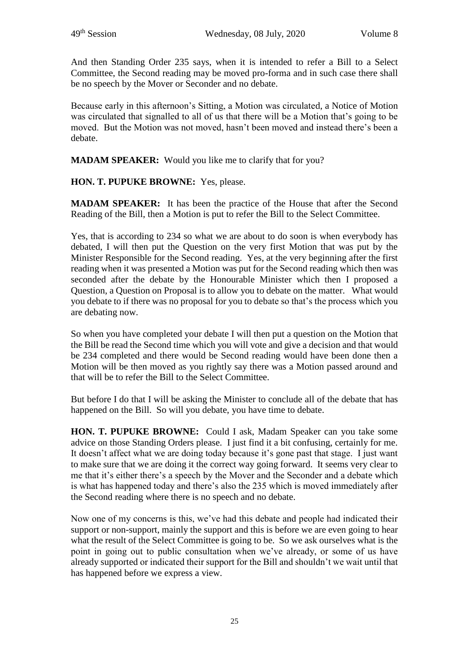And then Standing Order 235 says, when it is intended to refer a Bill to a Select Committee, the Second reading may be moved pro-forma and in such case there shall be no speech by the Mover or Seconder and no debate.

Because early in this afternoon's Sitting, a Motion was circulated, a Notice of Motion was circulated that signalled to all of us that there will be a Motion that's going to be moved. But the Motion was not moved, hasn't been moved and instead there's been a debate.

**MADAM SPEAKER:** Would you like me to clarify that for you?

**HON. T. PUPUKE BROWNE:** Yes, please.

**MADAM SPEAKER:** It has been the practice of the House that after the Second Reading of the Bill, then a Motion is put to refer the Bill to the Select Committee.

Yes, that is according to 234 so what we are about to do soon is when everybody has debated, I will then put the Question on the very first Motion that was put by the Minister Responsible for the Second reading. Yes, at the very beginning after the first reading when it was presented a Motion was put for the Second reading which then was seconded after the debate by the Honourable Minister which then I proposed a Question, a Question on Proposal is to allow you to debate on the matter. What would you debate to if there was no proposal for you to debate so that's the process which you are debating now.

So when you have completed your debate I will then put a question on the Motion that the Bill be read the Second time which you will vote and give a decision and that would be 234 completed and there would be Second reading would have been done then a Motion will be then moved as you rightly say there was a Motion passed around and that will be to refer the Bill to the Select Committee.

But before I do that I will be asking the Minister to conclude all of the debate that has happened on the Bill. So will you debate, you have time to debate.

**HON. T. PUPUKE BROWNE:** Could I ask, Madam Speaker can you take some advice on those Standing Orders please. I just find it a bit confusing, certainly for me. It doesn't affect what we are doing today because it's gone past that stage. I just want to make sure that we are doing it the correct way going forward. It seems very clear to me that it's either there's a speech by the Mover and the Seconder and a debate which is what has happened today and there's also the 235 which is moved immediately after the Second reading where there is no speech and no debate.

Now one of my concerns is this, we've had this debate and people had indicated their support or non-support, mainly the support and this is before we are even going to hear what the result of the Select Committee is going to be. So we ask ourselves what is the point in going out to public consultation when we've already, or some of us have already supported or indicated their support for the Bill and shouldn't we wait until that has happened before we express a view.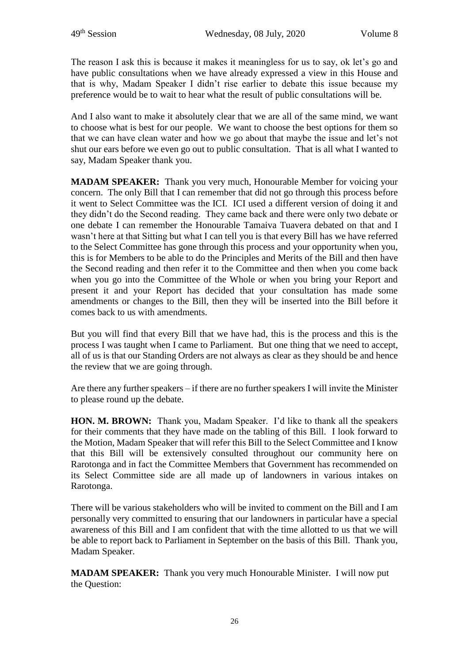The reason I ask this is because it makes it meaningless for us to say, ok let's go and have public consultations when we have already expressed a view in this House and that is why, Madam Speaker I didn't rise earlier to debate this issue because my preference would be to wait to hear what the result of public consultations will be.

And I also want to make it absolutely clear that we are all of the same mind, we want to choose what is best for our people. We want to choose the best options for them so that we can have clean water and how we go about that maybe the issue and let's not shut our ears before we even go out to public consultation. That is all what I wanted to say, Madam Speaker thank you.

**MADAM SPEAKER:** Thank you very much, Honourable Member for voicing your concern. The only Bill that I can remember that did not go through this process before it went to Select Committee was the ICI. ICI used a different version of doing it and they didn't do the Second reading. They came back and there were only two debate or one debate I can remember the Honourable Tamaiva Tuavera debated on that and I wasn't here at that Sitting but what I can tell you is that every Bill has we have referred to the Select Committee has gone through this process and your opportunity when you, this is for Members to be able to do the Principles and Merits of the Bill and then have the Second reading and then refer it to the Committee and then when you come back when you go into the Committee of the Whole or when you bring your Report and present it and your Report has decided that your consultation has made some amendments or changes to the Bill, then they will be inserted into the Bill before it comes back to us with amendments.

But you will find that every Bill that we have had, this is the process and this is the process I was taught when I came to Parliament. But one thing that we need to accept, all of us is that our Standing Orders are not always as clear as they should be and hence the review that we are going through.

Are there any further speakers – if there are no further speakers I will invite the Minister to please round up the debate.

**HON. M. BROWN:** Thank you, Madam Speaker. I'd like to thank all the speakers for their comments that they have made on the tabling of this Bill. I look forward to the Motion, Madam Speaker that will refer this Bill to the Select Committee and I know that this Bill will be extensively consulted throughout our community here on Rarotonga and in fact the Committee Members that Government has recommended on its Select Committee side are all made up of landowners in various intakes on Rarotonga.

There will be various stakeholders who will be invited to comment on the Bill and I am personally very committed to ensuring that our landowners in particular have a special awareness of this Bill and I am confident that with the time allotted to us that we will be able to report back to Parliament in September on the basis of this Bill. Thank you, Madam Speaker.

**MADAM SPEAKER:** Thank you very much Honourable Minister. I will now put the Question: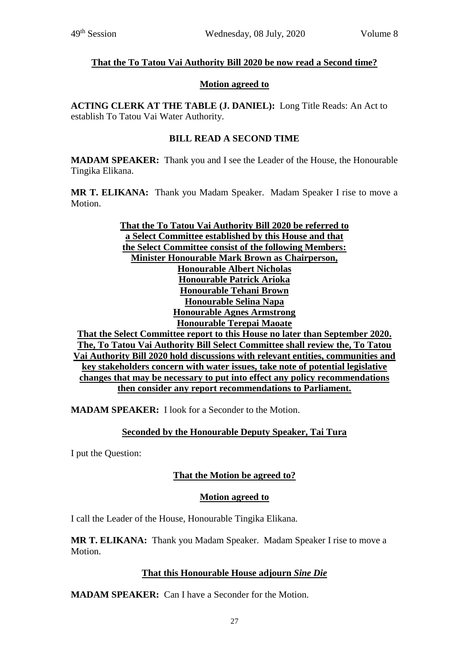## **That the To Tatou Vai Authority Bill 2020 be now read a Second time?**

#### **Motion agreed to**

**ACTING CLERK AT THE TABLE (J. DANIEL):** Long Title Reads: An Act to establish To Tatou Vai Water Authority.

## **BILL READ A SECOND TIME**

**MADAM SPEAKER:** Thank you and I see the Leader of the House, the Honourable Tingika Elikana.

**MR T. ELIKANA:** Thank you Madam Speaker. Madam Speaker I rise to move a Motion.

**That the To Tatou Vai Authority Bill 2020 be referred to a Select Committee established by this House and that the Select Committee consist of the following Members: Minister Honourable Mark Brown as Chairperson, Honourable Albert Nicholas Honourable Patrick Arioka Honourable Tehani Brown Honourable Selina Napa Honourable Agnes Armstrong Honourable Terepai Maoate That the Select Committee report to this House no later than September 2020. The, To Tatou Vai Authority Bill Select Committee shall review the, To Tatou Vai Authority Bill 2020 hold discussions with relevant entities, communities and key stakeholders concern with water issues, take note of potential legislative changes that may be necessary to put into effect any policy recommendations then consider any report recommendations to Parliament.**

**MADAM SPEAKER:** I look for a Seconder to the Motion.

# **Seconded by the Honourable Deputy Speaker, Tai Tura**

I put the Question:

# **That the Motion be agreed to?**

## **Motion agreed to**

I call the Leader of the House, Honourable Tingika Elikana.

**MR T. ELIKANA:** Thank you Madam Speaker. Madam Speaker I rise to move a Motion.

## **That this Honourable House adjourn** *Sine Die*

**MADAM SPEAKER:** Can I have a Seconder for the Motion.